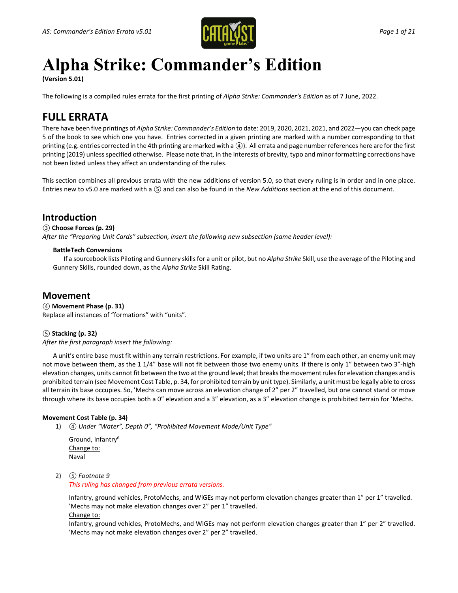

# **Alpha Strike: Commander's Edition**

**(Version 5.01)**

The following is a compiled rules errata for the first printing of *Alpha Strike: Commander's Edition* as of 7 June, 2022.

### **FULL ERRATA**

There have been five printings of *Alpha Strike: Commander's Edition* to date: 2019, 2020, 2021, 2021, and 2022—you can check page 5 of the book to see which one you have. Entries corrected in a given printing are marked with a number corresponding to that printing (e.g. entries corrected in the 4th printing are marked with a *④*). All errata and page number references here are for the first printing (2019) unless specified otherwise. Please note that, in the interests of brevity, typo and minor formatting corrections have not been listed unless they affect an understanding of the rules.

This section combines all previous errata with the new additions of version 5.0, so that every ruling is in order and in one place. Entries new to v5.0 are marked with a *⑤* and can also be found in the *New Additions* section at the end of this document.

### **Introduction**

### *③* **Choose Forces (p. 29)**

*After the "Preparing Unit Cards" subsection, insert the following new subsection (same header level):*

### **BattleTech Conversions**

If a sourcebook lists Piloting and Gunnery skills for a unit or pilot, but no *Alpha Strike* Skill, use the average of the Piloting and Gunnery Skills, rounded down, as the *Alpha Strike* Skill Rating.

### **Movement**

*④* **Movement Phase (p. 31)** Replace all instances of "formations" with "units".

### *⑤* **Stacking (p. 32)**

*After the first paragraph insert the following:*

A unit's entire base must fit within any terrain restrictions. For example, if two units are 1" from each other, an enemy unit may not move between them, as the 1 1/4" base will not fit between those two enemy units. If there is only 1" between two 3"-high elevation changes, units cannot fit between the two at the ground level; that breaks the movement rules for elevation changes and is prohibited terrain (see Movement Cost Table, p. 34, for prohibited terrain by unit type). Similarly, a unit must be legally able to cross all terrain its base occupies. So, 'Mechs can move across an elevation change of 2" per 2" travelled, but one cannot stand or move through where its base occupies both a 0" elevation and a 3" elevation, as a 3" elevation change is prohibited terrain for 'Mechs.

### **Movement Cost Table (p. 34)**

1) *④ Under "Water", Depth 0", "Prohibited Movement Mode/Unit Type"*

Ground, Infantry6 Change to: Naval

2) *⑤ Footnote 9*

*This ruling has changed from previous errata versions.*

Infantry, ground vehicles, ProtoMechs, and WiGEs may not perform elevation changes greater than 1" per 1" travelled. 'Mechs may not make elevation changes over 2" per 1" travelled. Change to:

Infantry, ground vehicles, ProtoMechs, and WiGEs may not perform elevation changes greater than 1" per 2" travelled. 'Mechs may not make elevation changes over 2" per 2" travelled.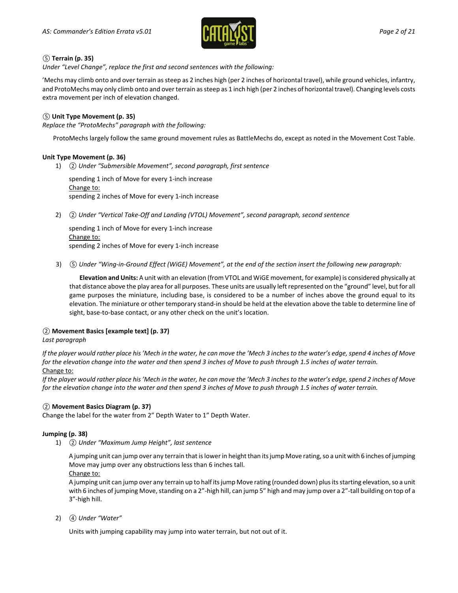

### *⑤* **Terrain (p. 35)**

*Under "Level Change", replace the first and second sentences with the following:*

'Mechs may climb onto and over terrain as steep as 2 inches high (per 2 inches of horizontal travel), while ground vehicles, infantry, and ProtoMechs may only climb onto and over terrain as steep as 1 inch high (per 2 inches of horizontal travel). Changing levels costs extra movement per inch of elevation changed.

### *⑤* **Unit Type Movement (p. 35)**

*Replace the "ProtoMechs" paragraph with the following:*

ProtoMechs largely follow the same ground movement rules as BattleMechs do, except as noted in the Movement Cost Table.

### **Unit Type Movement (p. 36)**

1) *② Under "Submersible Movement", second paragraph, first sentence*

spending 1 inch of Move for every 1-inch increase Change to: spending 2 inches of Move for every 1-inch increase

2) *② Under "Vertical Take-Off and Landing (VTOL) Movement", second paragraph, second sentence*

spending 1 inch of Move for every 1-inch increase Change to: spending 2 inches of Move for every 1-inch increase

3) *⑤ Under "Wing-in-Ground Effect (WiGE) Movement", at the end of the section insert the following new paragraph:*

**Elevation and Units:** A unit with an elevation (from VTOL and WiGE movement, for example) is considered physically at that distance above the play area for all purposes. These units are usually left represented on the "ground" level, but for all game purposes the miniature, including base, is considered to be a number of inches above the ground equal to its elevation. The miniature or other temporary stand-in should be held at the elevation above the table to determine line of sight, base-to-base contact, or any other check on the unit's location.

### *②* **Movement Basics [example text] (p. 37)**

### *Last paragraph*

*If the player would rather place his 'Mech in the water, he can move the 'Mech 3 inches to the water's edge, spend 4 inches of Move for the elevation change into the water and then spend 3 inches of Move to push through 1.5 inches of water terrain.* Change to:

*If the player would rather place his 'Mech in the water, he can move the 'Mech 3 inches to the water's edge, spend 2 inches of Move for the elevation change into the water and then spend 3 inches of Move to push through 1.5 inches of water terrain.*

### *②* **Movement Basics Diagram (p. 37)**

Change the label for the water from 2" Depth Water to 1" Depth Water.

### **Jumping (p. 38)**

1) *② Under "Maximum Jump Height", last sentence*

A jumping unit can jump over any terrain that is lower in height than its jump Move rating, so a unit with 6 inches of jumping Move may jump over any obstructions less than 6 inches tall.

Change to:

A jumping unit can jump over any terrain up to half its jump Move rating (rounded down) plus its starting elevation, so a unit with 6 inches of jumping Move, standing on a 2"-high hill, can jump 5" high and may jump over a 2"-tall building on top of a 3"-high hill.

2) *④ Under "Water"*

Units with jumping capability may jump into water terrain, but not out of it.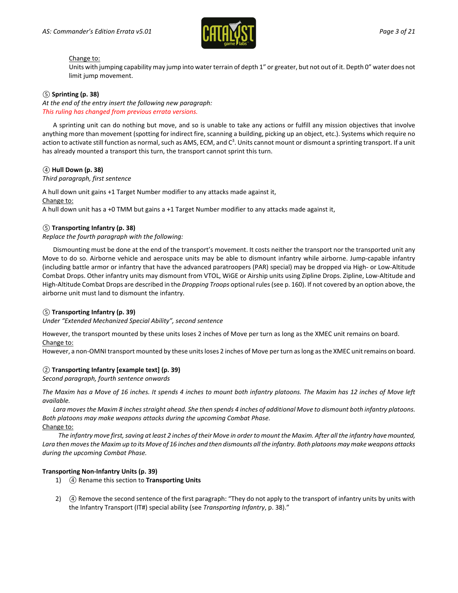

#### Change to:

Units with jumping capability may jump into water terrain of depth 1" or greater, but not out of it. Depth 0" water does not limit jump movement.

### *⑤* **Sprinting (p. 38)**

*At the end of the entry insert the following new paragraph: This ruling has changed from previous errata versions.*

A sprinting unit can do nothing but move, and so is unable to take any actions or fulfill any mission objectives that involve anything more than movement (spotting for indirect fire, scanning a building, picking up an object, etc.). Systems which require no action to activate still function as normal, such as AMS, ECM, and C $^3$ . Units cannot mount or dismount a sprinting transport. If a unit has already mounted a transport this turn, the transport cannot sprint this turn.

### *④* **Hull Down (p. 38)**

#### *Third paragraph, first sentence*

A hull down unit gains +1 Target Number modifier to any attacks made against it, Change to: A hull down unit has a +0 TMM but gains a +1 Target Number modifier to any attacks made against it,

### *⑤* **Transporting Infantry (p. 38)**

*Replace the fourth paragraph with the following:*

Dismounting must be done at the end of the transport's movement. It costs neither the transport nor the transported unit any Move to do so. Airborne vehicle and aerospace units may be able to dismount infantry while airborne. Jump-capable infantry (including battle armor or infantry that have the advanced paratroopers (PAR) special) may be dropped via High- or Low-Altitude Combat Drops. Other infantry units may dismount from VTOL, WiGE or Airship units using Zipline Drops. Zipline, Low-Altitude and High-Altitude Combat Drops are described in the *Dropping Troops* optional rules (see p. 160). If not covered by an option above, the airborne unit must land to dismount the infantry.

### *⑤* **Transporting Infantry (p. 39)**

*Under "Extended Mechanized Special Ability", second sentence*

However, the transport mounted by these units loses 2 inches of Move per turn as long as the XMEC unit remains on board. Change to:

However, a non-OMNI transport mounted by these units loses 2 inches of Move per turn as long as the XMEC unit remains on board.

### *②* **Transporting Infantry [example text] (p. 39)**

*Second paragraph, fourth sentence onwards*

*The Maxim has a Move of 16 inches. It spends 4 inches to mount both infantry platoons. The Maxim has 12 inches of Move left available.*

*Lara moves the Maxim 8 inches straight ahead. She then spends 4 inches of additional Move to dismount both infantry platoons. Both platoons may make weapons attacks during the upcoming Combat Phase.* Change to:

*The infantry move first, saving at least 2 inches of their Move in order to mount the Maxim. After all the infantry have mounted, Lara then moves the Maxim up to its Move of 16 inches and then dismounts all the infantry. Both platoons may make weapons attacks during the upcoming Combat Phase.*

### **Transporting Non-Infantry Units (p. 39)**

- 1) *④* Rename this section to **Transporting Units**
- 2) *④* Remove the second sentence of the first paragraph: "They do not apply to the transport of infantry units by units with the Infantry Transport (IT#) special ability (see *Transporting Infantry*, p. 38)."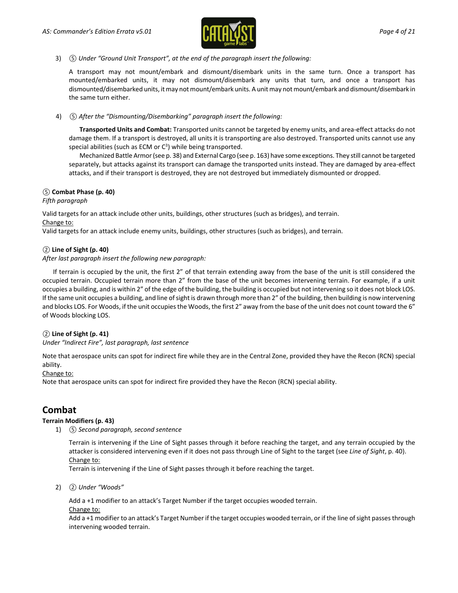

3) *⑤ Under "Ground Unit Transport", at the end of the paragraph insert the following:*

A transport may not mount/embark and dismount/disembark units in the same turn. Once a transport has mounted/embarked units, it may not dismount/disembark any units that turn, and once a transport has dismounted/disembarked units, it may not mount/embark units. A unit may not mount/embark and dismount/disembark in the same turn either.

4) *⑤ After the "Dismounting/Disembarking" paragraph insert the following:*

**Transported Units and Combat:** Transported units cannot be targeted by enemy units, and area-effect attacks do not damage them. If a transport is destroyed, all units it is transporting are also destroyed. Transported units cannot use any special abilities (such as ECM or  $C<sup>3</sup>$ ) while being transported.

Mechanized Battle Armor (see p. 38) and External Cargo (see p. 163) have some exceptions. They still cannot be targeted separately, but attacks against its transport can damage the transported units instead. They are damaged by area-effect attacks, and if their transport is destroyed, they are not destroyed but immediately dismounted or dropped.

### *⑤* **Combat Phase (p. 40)**

*Fifth paragraph*

Valid targets for an attack include other units, buildings, other structures (such as bridges), and terrain. Change to:

Valid targets for an attack include enemy units, buildings, other structures (such as bridges), and terrain.

### *②* **Line of Sight (p. 40)**

*After last paragraph insert the following new paragraph:*

If terrain is occupied by the unit, the first 2" of that terrain extending away from the base of the unit is still considered the occupied terrain. Occupied terrain more than 2" from the base of the unit becomes intervening terrain. For example, if a unit occupies a building, and is within 2" of the edge of the building, the building is occupied but not intervening so it does not block LOS. If the same unit occupies a building, and line of sight is drawn through more than 2" of the building, then building is now intervening and blocks LOS. For Woods, if the unit occupies the Woods, the first 2" away from the base of the unit does not count toward the 6" of Woods blocking LOS.

### *②* **Line of Sight (p. 41)**

*Under "Indirect Fire", last paragraph, last sentence*

Note that aerospace units can spot for indirect fire while they are in the Central Zone, provided they have the Recon (RCN) special ability.

### Change to:

Note that aerospace units can spot for indirect fire provided they have the Recon (RCN) special ability.

### **Combat**

### **Terrain Modifiers (p. 43)**

1) *⑤ Second paragraph, second sentence*

Terrain is intervening if the Line of Sight passes through it before reaching the target, and any terrain occupied by the attacker is considered intervening even if it does not pass through Line of Sight to the target (see *Line of Sight*, p. 40). Change to:

Terrain is intervening if the Line of Sight passes through it before reaching the target.

2) *② Under "Woods"*

Add a +1 modifier to an attack's Target Number if the target occupies wooded terrain. Change to:

Add a +1 modifier to an attack's Target Number if the target occupies wooded terrain, or if the line of sight passes through intervening wooded terrain.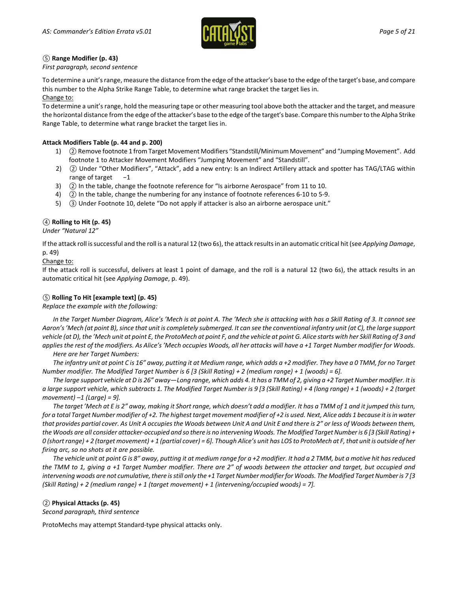

### *⑤* **Range Modifier (p. 43)**

### *First paragraph, second sentence*

To determine a unit's range, measure the distance from the edge of the attacker's base to the edge of the target's base, and compare this number to the Alpha Strike Range Table, to determine what range bracket the target lies in. Change to:

To determine a unit's range, hold the measuring tape or other measuring tool above both the attacker and the target, and measure the horizontal distance from the edge of the attacker's base to the edge of the target's base. Compare this number to the Alpha Strike Range Table, to determine what range bracket the target lies in.

### **Attack Modifiers Table (p. 44 and p. 200)**

- 1) *②*Remove footnote 1 from Target Movement Modifiers "Standstill/Minimum Movement" and "Jumping Movement". Add footnote 1 to Attacker Movement Modifiers "Jumping Movement" and "Standstill".
- 2) *②* Under "Other Modifiers", "Attack", add a new entry: Is an Indirect Artillery attack and spotter has TAG/LTAG within range of target -1
- 3) *②* In the table, change the footnote reference for "Is airborne Aerospace" from 11 to 10.
- 4) *②* In the table, change the numbering for any instance of footnote references 6-10 to 5-9.
- 5) *③* Under Footnote 10, delete "Do not apply if attacker is also an airborne aerospace unit."

### *④* **Rolling to Hit (p. 45)**

*Under "Natural 12"*

If the attack roll is successful and the roll is a natural 12 (two 6s), the attack results in an automatic critical hit (see *Applying Damage*, p. 49)

### Change to:

If the attack roll is successful, delivers at least 1 point of damage, and the roll is a natural 12 (two 6s), the attack results in an automatic critical hit (see *Applying Damage*, p. 49).

### *⑤* **Rolling To Hit [example text] (p. 45)**

### *Replace the example with the following:*

*In the Target Number Diagram, Alice's 'Mech is at point A. The 'Mech she is attacking with has a Skill Rating of 3. It cannot see Aaron's 'Mech (at point B), since that unit is completely submerged. It can see the conventional infantry unit (at C), the large support vehicle (at D), the 'Mech unit at point E, the ProtoMech at point F, and the vehicle at point G. Alice starts with her Skill Rating of 3 and applies the rest of the modifiers. As Alice's 'Mech occupies Woods, all her attacks will have a +1 Target Number modifier for Woods. Here are her Target Numbers:*

*The infantry unit at point C is 16" away, putting it at Medium range, which adds a +2 modifier. They have a 0 TMM, for no Target Number modifier. The Modified Target Number is 6 [3 (Skill Rating) + 2 (medium range) + 1 (woods) = 6].*

*The large support vehicle at D is 26" away—Long range, which adds 4. It has a TMM of 2, giving a +2 Target Numbermodifier. It is a large support vehicle, which subtracts 1. The Modified Target Number is 9 [3 (Skill Rating) + 4 (long range) + 1 (woods) + 2 (target movement) –1 (Large) = 9].*

*The target 'Mech at E is 2" away, making it Short range, which doesn't add a modifier. It has a TMM of 1 and it jumped this turn, for a total Target Number modifier of +2. The highest target movement modifier of +2 is used. Next, Alice adds 1 because it is in water that provides partial cover. As Unit A occupies the Woods between Unit A and Unit E and there is 2" or less of Woods between them, the Woods are all consider attacker-occupied and so there is no intervening Woods. The Modified Target Number is 6 [3 (Skill Rating) + 0 (shortrange) + 2 (target movement) + 1 (partial cover) = 6]. Though Alice's unit has LOS to ProtoMech at F, that unit is outside of her firing arc, so no shots at it are possible.*

*The vehicle unit at point G is 8" away, putting it at medium range for a +2 modifier. It had a 2 TMM, but a motive hit has reduced the TMM to 1, giving a +1 Target Number modifier. There are 2" of woods between the attacker and target, but occupied and intervening woods are not cumulative, there is still only the +1 Target Number modifier for Woods. The Modified Target Number is 7 [3 (Skill Rating) + 2 (medium range) + 1 (target movement) + 1 (intervening/occupied woods) = 7].*

### *②* **Physical Attacks (p. 45)**

*Second paragraph, third sentence*

ProtoMechs may attempt Standard-type physical attacks only.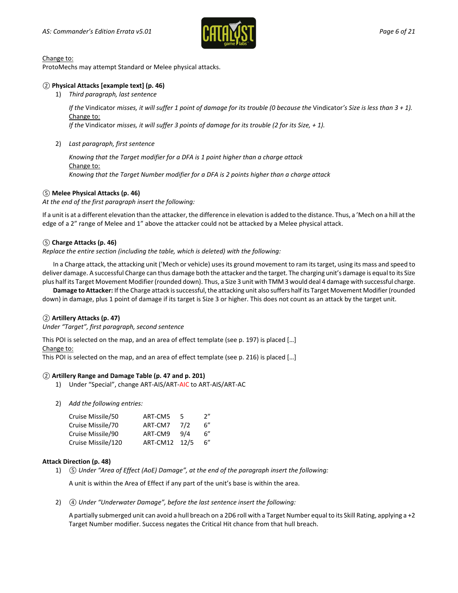

#### Change to:

ProtoMechs may attempt Standard or Melee physical attacks.

### *②* **Physical Attacks [example text] (p. 46)**

1) *Third paragraph, last sentence*

*If the Vindicator misses, it will suffer 1 point of damage for its trouble (0 because the Vindicator's Size is less than 3 + 1).* Change to:

*If the* Vindicator *misses, it will suffer 3 points of damage for its trouble (2 for its Size, + 1).*

### 2) *Last paragraph, first sentence*

*Knowing that the Target modifier for a DFA is 1 point higher than a charge attack* Change to: *Knowing that the Target Number modifier for a DFA is 2 points higher than a charge attack*

### *⑤* **Melee Physical Attacks (p. 46)**

*At the end of the first paragraph insert the following:*

If a unit is at a different elevation than the attacker, the difference in elevation is added to the distance. Thus, a 'Mech on a hill at the edge of a 2" range of Melee and 1" above the attacker could not be attacked by a Melee physical attack.

### *⑤* **Charge Attacks (p. 46)**

*Replace the entire section (including the table, which is deleted) with the following:*

In a Charge attack, the attacking unit ('Mech or vehicle) uses its ground movement to ram its target, using its mass and speed to deliver damage. A successful Charge can thus damage both the attacker and the target. The charging unit's damage is equal to its Size plus half its Target Movement Modifier (rounded down). Thus, a Size 3 unit with TMM 3 would deal 4 damage with successful charge.

**Damage to Attacker:** If the Charge attack is successful, the attacking unit also suffers half its Target Movement Modifier (rounded down) in damage, plus 1 point of damage if its target is Size 3 or higher. This does not count as an attack by the target unit.

### *②* **Artillery Attacks (p. 47)**

*Under "Target", first paragraph, second sentence*

This POI is selected on the map, and an area of effect template (see p. 197) is placed […]

Change to:

This POI is selected on the map, and an area of effect template (see p. 216) is placed […]

### *②* **Artillery Range and Damage Table (p. 47 and p. 201)**

- 1) Under "Special", change ART-AIS/ART-AIC to ART-AIS/ART-AC
- 2) *Add the following entries:*

| ART-CM5  | 5   | 2"   |
|----------|-----|------|
| ART-CM7  | 7/2 | 6''  |
| ART-CM9  | 9/4 | 6''  |
| ART-CM12 |     | 6"   |
|          |     | 12/5 |

### **Attack Direction (p. 48)**

1) *⑤ Under "Area of Effect (AoE) Damage", at the end of the paragraph insert the following:*

A unit is within the Area of Effect if any part of the unit's base is within the area.

2) *④ Under "Underwater Damage", before the last sentence insert the following:*

A partially submerged unit can avoid a hull breach on a 2D6 roll with a Target Number equal to its Skill Rating, applying a +2 Target Number modifier. Success negates the Critical Hit chance from that hull breach.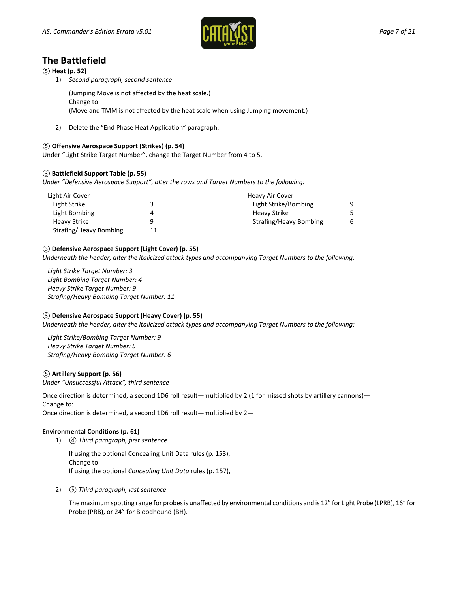

### **The Battlefield**

*⑤* **Heat (p. 52)**

1) *Second paragraph, second sentence*

(Jumping Move is not affected by the heat scale.)

Change to:

(Move and TMM is not affected by the heat scale when using Jumping movement.)

2) Delete the "End Phase Heat Application" paragraph.

### *⑤* **Offensive Aerospace Support (Strikes) (p. 54)**

Under "Light Strike Target Number", change the Target Number from 4 to 5.

### *③* **Battlefield Support Table (p. 55)**

*Under "Defensive Aerospace Support", alter the rows and Target Numbers to the following:*

| Light Air Cover        |    | Heavy Air Cover        |   |
|------------------------|----|------------------------|---|
| Light Strike           |    | Light Strike/Bombing   | 9 |
| Light Bombing          |    | Heavy Strike           |   |
| <b>Heavy Strike</b>    |    | Strafing/Heavy Bombing | 6 |
| Strafing/Heavy Bombing | 11 |                        |   |

### *③* **Defensive Aerospace Support (Light Cover) (p. 55)**

*Underneath the header, alter the italicized attack types and accompanying Target Numbers to the following:*

*Light Strike Target Number: 3 Light Bombing Target Number: 4 Heavy Strike Target Number: 9 Strafing/Heavy Bombing Target Number: 11*

### *③* **Defensive Aerospace Support (Heavy Cover) (p. 55)**

*Underneath the header, alter the italicized attack types and accompanying Target Numbers to the following:*

*Light Strike/Bombing Target Number: 9 Heavy Strike Target Number: 5 Strafing/Heavy Bombing Target Number: 6*

### *⑤* **Artillery Support (p. 56)**

*Under "Unsuccessful Attack", third sentence*

Once direction is determined, a second 1D6 roll result—multiplied by 2 (1 for missed shots by artillery cannons)— Change to:

Once direction is determined, a second 1D6 roll result—multiplied by 2—

### **Environmental Conditions (p. 61)**

1) *④ Third paragraph, first sentence*

If using the optional Concealing Unit Data rules (p. 153), Change to: If using the optional *Concealing Unit Data* rules (p. 157),

2) *⑤ Third paragraph, last sentence*

The maximum spotting range for probes is unaffected by environmental conditions and is 12" for Light Probe (LPRB), 16" for Probe (PRB), or 24" for Bloodhound (BH).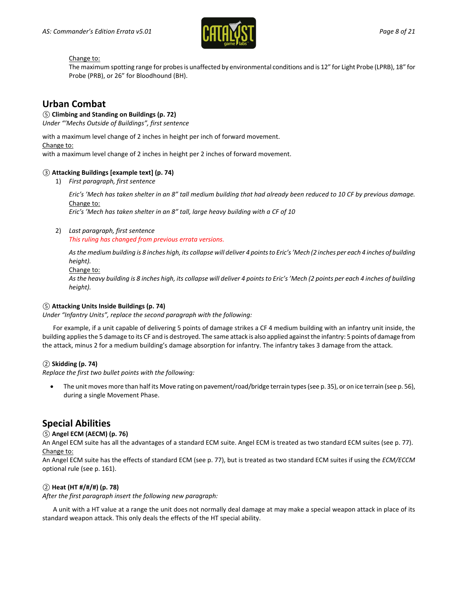

### Change to:

The maximum spotting range for probes is unaffected by environmental conditions and is 12" for Light Probe (LPRB), 18" for Probe (PRB), or 26" for Bloodhound (BH).

### **Urban Combat**

### *⑤* **Climbing and Standing on Buildings (p. 72)**

*Under "'Mechs Outside of Buildings", first sentence*

with a maximum level change of 2 inches in height per inch of forward movement.

### with a maximum level change of 2 inches in height per 2 inches of forward movement.

Change to:

### *③* **Attacking Buildings [example text] (p. 74)**

1) *First paragraph, first sentence*

*Eric's 'Mech has taken shelter in an 8" tall medium building that had already been reduced to 10 CF by previous damage.* Change to:

*Eric's 'Mech has taken shelter in an 8" tall, large heavy building with a CF of 10*

### 2) *Last paragraph, first sentence*

*This ruling has changed from previous errata versions.*

*As the medium building is 8 inches high, its collapse will deliver 4 pointsto Eric's 'Mech (2 inches per each 4 inches of building height).*

Change to:

*As the heavy building is 8 inches high, its collapse will deliver 4 points to Eric's 'Mech (2 points per each 4 inches of building height).*

### *⑤* **Attacking Units Inside Buildings (p. 74)**

*Under "Infantry Units", replace the second paragraph with the following:*

For example, if a unit capable of delivering 5 points of damage strikes a CF 4 medium building with an infantry unit inside, the building applies the 5 damage to its CF and is destroyed. The same attack is also applied against the infantry: 5 points of damage from the attack, minus 2 for a medium building's damage absorption for infantry. The infantry takes 3 damage from the attack.

### *②* **Skidding (p. 74)**

*Replace the first two bullet points with the following:*

• The unit moves more than half its Move rating on pavement/road/bridge terrain types (see p. 35), or on ice terrain (see p. 56), during a single Movement Phase.

### **Special Abilities**

### *⑤* **Angel ECM (AECM) (p. 76)**

An Angel ECM suite has all the advantages of a standard ECM suite. Angel ECM is treated as two standard ECM suites (see p. 77). Change to:

An Angel ECM suite has the effects of standard ECM (see p. 77), but is treated as two standard ECM suites if using the *ECM/ECCM* optional rule (see p. 161).

### *②* **Heat (HT #/#/#) (p. 78)**

*After the first paragraph insert the following new paragraph:*

A unit with a HT value at a range the unit does not normally deal damage at may make a special weapon attack in place of its standard weapon attack. This only deals the effects of the HT special ability.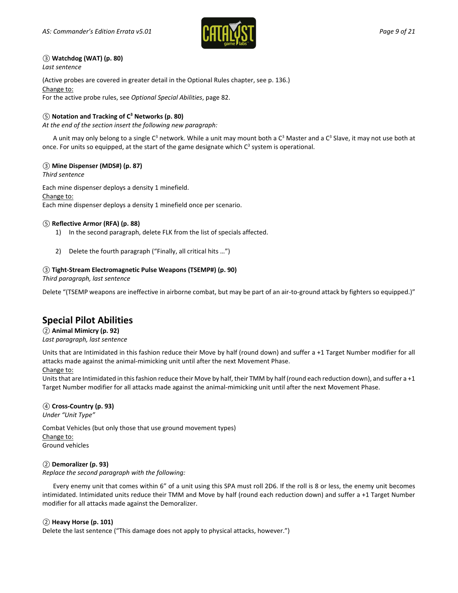

### *③* **Watchdog (WAT) (p. 80)**

*Last sentence*

(Active probes are covered in greater detail in the Optional Rules chapter, see p. 136.) Change to:

For the active probe rules, see *Optional Special Abilities*, page 82.

### *⑤* **Notation and Tracking of C3 Networks (p. 80)**

*At the end of the section insert the following new paragraph:*

A unit may only belong to a single  $C^3$  network. While a unit may mount both a  $C^3$  Master and a  $C^3$  Slave, it may not use both at once. For units so equipped, at the start of the game designate which  $C^3$  system is operational.

### *③* **Mine Dispenser (MDS#) (p. 87)**

*Third sentence*

Each mine dispenser deploys a density 1 minefield. Change to: Each mine dispenser deploys a density 1 minefield once per scenario.

### *⑤* **Reflective Armor (RFA) (p. 88)**

- 1) In the second paragraph, delete FLK from the list of specials affected.
- 2) Delete the fourth paragraph ("Finally, all critical hits …")

### *③* **Tight-Stream Electromagnetic Pulse Weapons (TSEMP#) (p. 90)**

*Third paragraph, last sentence*

Delete "(TSEMP weapons are ineffective in airborne combat, but may be part of an air-to-ground attack by fighters so equipped.)"

### **Special Pilot Abilities**

*②* **Animal Mimicry (p. 92)** *Last paragraph, last sentence*

Units that are Intimidated in this fashion reduce their Move by half (round down) and suffer a +1 Target Number modifier for all attacks made against the animal-mimicking unit until after the next Movement Phase.

### Change to:

Units that are Intimidated in this fashion reduce their Move by half, their TMM by half (round each reduction down), and suffer a +1 Target Number modifier for all attacks made against the animal-mimicking unit until after the next Movement Phase.

### *④* **Cross-Country (p. 93)**

*Under "Unit Type"*

Combat Vehicles (but only those that use ground movement types) Change to: Ground vehicles

### *②* **Demoralizer (p. 93)**

*Replace the second paragraph with the following:*

Every enemy unit that comes within 6" of a unit using this SPA must roll 2D6. If the roll is 8 or less, the enemy unit becomes intimidated. Intimidated units reduce their TMM and Move by half (round each reduction down) and suffer a +1 Target Number modifier for all attacks made against the Demoralizer.

### *②* **Heavy Horse (p. 101)**

Delete the last sentence ("This damage does not apply to physical attacks, however.")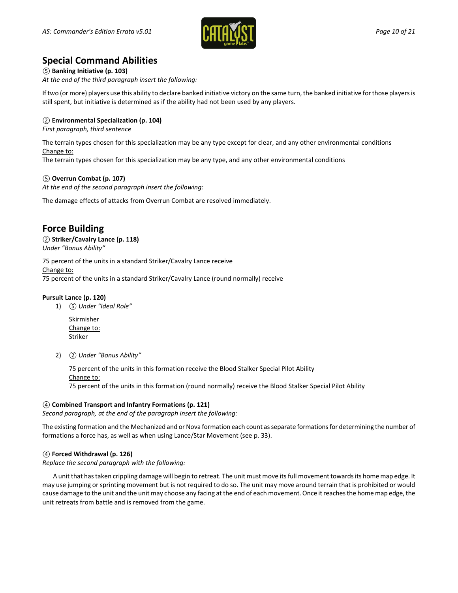

### **Special Command Abilities**

*⑤* **Banking Initiative (p. 103)** *At the end of the third paragraph insert the following:*

If two (or more) players use this ability to declare banked initiative victory on the same turn, the banked initiative for those players is still spent, but initiative is determined as if the ability had not been used by any players.

### *②* **Environmental Specialization (p. 104)**

*First paragraph, third sentence*

The terrain types chosen for this specialization may be any type except for clear, and any other environmental conditions Change to:

The terrain types chosen for this specialization may be any type, and any other environmental conditions

### *⑤* **Overrun Combat (p. 107)**

*At the end of the second paragraph insert the following:*

The damage effects of attacks from Overrun Combat are resolved immediately.

### **Force Building**

## *②* **Striker/Cavalry Lance (p. 118)**

*Under "Bonus Ability"*

75 percent of the units in a standard Striker/Cavalry Lance receive Change to: 75 percent of the units in a standard Striker/Cavalry Lance (round normally) receive

### **Pursuit Lance (p. 120)**

1) *⑤ Under "Ideal Role"*

Skirmisher Change to: Striker

2) *② Under "Bonus Ability"*

75 percent of the units in this formation receive the Blood Stalker Special Pilot Ability Change to: 75 percent of the units in this formation (round normally) receive the Blood Stalker Special Pilot Ability

### *④* **Combined Transport and Infantry Formations (p. 121)**

*Second paragraph, at the end of the paragraph insert the following:*

The existing formation and the Mechanized and or Nova formation each count as separate formations for determining the number of formations a force has, as well as when using Lance/Star Movement (see p. 33).

### *④* **Forced Withdrawal (p. 126)**

*Replace the second paragraph with the following:*

A unit that has taken crippling damage will begin to retreat. The unit must move its full movement towards its home map edge. It may use jumping or sprinting movement but is not required to do so. The unit may move around terrain that is prohibited or would cause damage to the unit and the unit may choose any facing at the end of each movement. Once it reaches the home map edge, the unit retreats from battle and is removed from the game.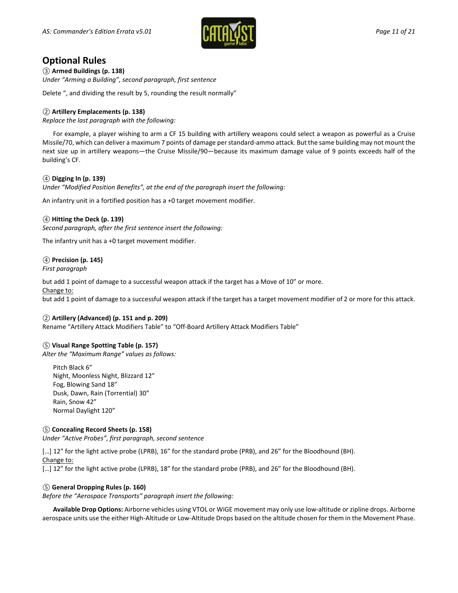

### **Optional Rules**

*③* **Armed Buildings (p. 138)** *Under "Arming a Building", second paragraph, first sentence*

Delete ", and dividing the result by 5, rounding the result normally"

### *②* **Artillery Emplacements (p. 138)**

*Replace the last paragraph with the following:*

For example, a player wishing to arm a CF 15 building with artillery weapons could select a weapon as powerful as a Cruise Missile/70, which can deliver a maximum 7 points of damage per standard-ammo attack. But the same building may not mount the next size up in artillery weapons—the Cruise Missile/90—because its maximum damage value of 9 points exceeds half of the building's CF.

### *④* **Digging In (p. 139)**

*Under "Modified Position Benefits", at the end of the paragraph insert the following:*

An infantry unit in a fortified position has a +0 target movement modifier.

### *④* **Hitting the Deck (p. 139)**

*Second paragraph, after the first sentence insert the following:*

The infantry unit has a +0 target movement modifier.

### *④* **Precision (p. 145)**

*First paragraph*

but add 1 point of damage to a successful weapon attack if the target has a Move of 10" or more.

Change to:

but add 1 point of damage to a successful weapon attack if the target has a target movement modifier of 2 or more for this attack.

### *②* **Artillery (Advanced) (p. 151 and p. 209)**

Rename "Artillery Attack Modifiers Table" to "Off-Board Artillery Attack Modifiers Table"

### *⑤* **Visual Range Spotting Table (p. 157)**

*Alter the "Maximum Range" values as follows:*

Pitch Black 6" Night, Moonless Night, Blizzard 12" Fog, Blowing Sand 18" Dusk, Dawn, Rain (Torrential) 30" Rain, Snow 42" Normal Daylight 120"

### *⑤* **Concealing Record Sheets (p. 158)**

*Under "Active Probes", first paragraph, second sentence*

[…] 12" for the light active probe (LPRB), 16" for the standard probe (PRB), and 26" for the Bloodhound (BH). Change to:

[…] 12" for the light active probe (LPRB), 18" for the standard probe (PRB), and 26" for the Bloodhound (BH).

### *⑤* **General Dropping Rules (p. 160)**

*Before the "Aerospace Transports" paragraph insert the following:*

**Available Drop Options:** Airborne vehicles using VTOL or WiGE movement may only use low-altitude or zipline drops. Airborne aerospace units use the either High-Altitude or Low-Altitude Drops based on the altitude chosen for them in the Movement Phase.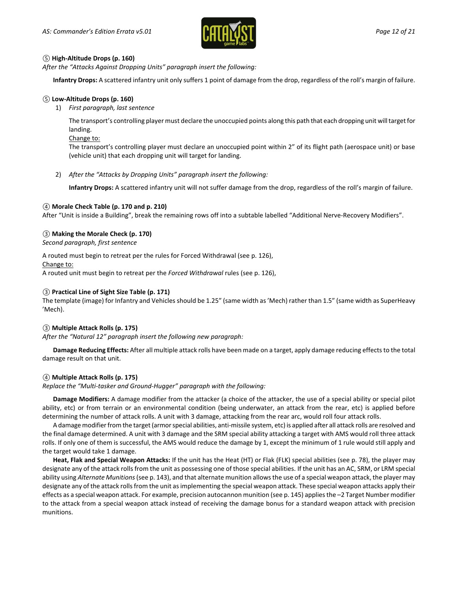

### *⑤* **High-Altitude Drops (p. 160)**

*After the "Attacks Against Dropping Units" paragraph insert the following:*

**Infantry Drops:** A scattered infantry unit only suffers 1 point of damage from the drop, regardless of the roll's margin of failure.

### *⑤* **Low-Altitude Drops (p. 160)**

1) *First paragraph, last sentence*

The transport's controlling player must declare the unoccupied points along this path that each dropping unit will target for landing.

Change to:

The transport's controlling player must declare an unoccupied point within 2" of its flight path (aerospace unit) or base (vehicle unit) that each dropping unit will target for landing.

2) *After the "Attacks by Dropping Units" paragraph insert the following:*

**Infantry Drops:** A scattered infantry unit will not suffer damage from the drop, regardless of the roll's margin of failure.

### *④* **Morale Check Table (p. 170 and p. 210)**

After "Unit is inside a Building", break the remaining rows off into a subtable labelled "Additional Nerve-Recovery Modifiers".

### *③* **Making the Morale Check (p. 170)**

*Second paragraph, first sentence*

A routed must begin to retreat per the rules for Forced Withdrawal (see p. 126), Change to: A routed unit must begin to retreat per the *Forced Withdrawal* rules (see p. 126),

### *③* **Practical Line of Sight Size Table (p. 171)**

The template (image) for Infantry and Vehicles should be 1.25" (same width as 'Mech) rather than 1.5" (same width as SuperHeavy 'Mech).

### *③* **Multiple Attack Rolls (p. 175)**

*After the "Natural 12" paragraph insert the following new paragraph:*

**Damage Reducing Effects:** After all multiple attack rolls have been made on a target, apply damage reducing effects to the total damage result on that unit.

### *④* **Multiple Attack Rolls (p. 175)**

*Replace the "Multi-tasker and Ground-Hugger" paragraph with the following:*

**Damage Modifiers:** A damage modifier from the attacker (a choice of the attacker, the use of a special ability or special pilot ability, etc) or from terrain or an environmental condition (being underwater, an attack from the rear, etc) is applied before determining the number of attack rolls. A unit with 3 damage, attacking from the rear arc, would roll four attack rolls.

A damage modifier from the target (armor special abilities, anti-missile system, etc) is applied after all attack rolls are resolved and the final damage determined. A unit with 3 damage and the SRM special ability attacking a target with AMS would roll three attack rolls. If only one of them is successful, the AMS would reduce the damage by 1, except the minimum of 1 rule would still apply and the target would take 1 damage.

**Heat, Flak and Special Weapon Attacks:** If the unit has the Heat (HT) or Flak (FLK) special abilities (see p. 78), the player may designate any of the attack rolls from the unit as possessing one of those special abilities. If the unit has an AC, SRM, or LRM special ability using *Alternate Munitions*(see p. 143), and that alternate munition allows the use of a special weapon attack, the player may designate any of the attack rolls from the unit as implementing the special weapon attack. These special weapon attacks apply their effects as a special weapon attack. For example, precision autocannon munition (see p. 145) applies the –2 Target Number modifier to the attack from a special weapon attack instead of receiving the damage bonus for a standard weapon attack with precision munitions.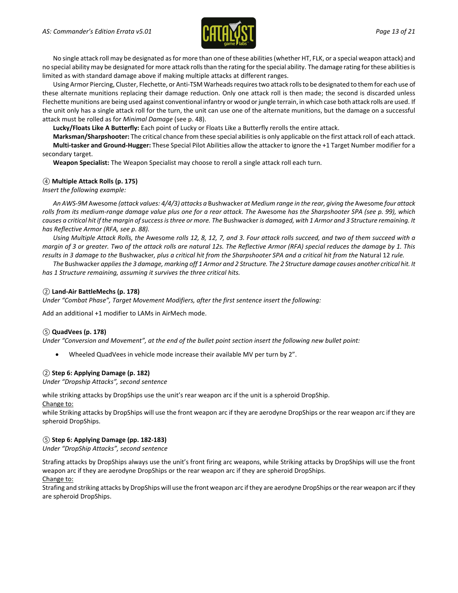

No single attack roll may be designated as for more than one of these abilities (whether HT, FLK, or a special weapon attack) and no special ability may be designated for more attack rolls than the rating for the special ability. The damage rating for these abilitiesis limited as with standard damage above if making multiple attacks at different ranges.

Using Armor Piercing, Cluster, Flechette, or Anti-TSM Warheads requirestwo attack rolls to be designated to them for each use of these alternate munitions replacing their damage reduction. Only one attack roll is then made; the second is discarded unless Flechette munitions are being used against conventional infantry or wood or jungle terrain, in which case both attack rolls are used. If the unit only has a single attack roll for the turn, the unit can use one of the alternate munitions, but the damage on a successful attack must be rolled as for *Minimal Damage* (see p. 48).

**Lucky/Floats Like A Butterfly:** Each point of Lucky or Floats Like a Butterfly rerolls the entire attack.

**Marksman/Sharpshooter:** The critical chance from these special abilities is only applicable on the first attack roll of each attack. **Multi-tasker and Ground-Hugger:** These Special Pilot Abilities allow the attacker to ignore the +1 Target Number modifier for a secondary target.

**Weapon Specialist:** The Weapon Specialist may choose to reroll a single attack roll each turn.

#### *④* **Multiple Attack Rolls (p. 175)**

*Insert the following example:*

*An AWS-9M* Awesome *(attack values: 4/4/3) attacks a* Bushwacker *at Medium range in the rear, giving the* Awesome *four attack rolls from its medium-range damage value plus one for a rear attack. The* Awesome *has the Sharpshooter SPA (see p. 99), which causes a critical hit if the margin of success is three or more. The* Bushwacker *is damaged, with 1 Armor and 3 Structure remaining. It has Reflective Armor (RFA, see p. 88).*

*Using Multiple Attack Rolls, the* Awesome *rolls 12, 8, 12, 7, and 3. Four attack rolls succeed, and two of them succeed with a margin of 3 or greater. Two of the attack rolls are natural 12s. The Reflective Armor (RFA) special reduces the damage by 1. This results in 3 damage to the* Bushwacker*, plus a critical hit from the Sharpshooter SPA and a critical hit from the* Natural 12 *rule.*

*The* Bushwacker *applies the 3 damage, marking off 1 Armor and 2 Structure. The 2 Structure damage causes another critical hit. It has 1 Structure remaining, assuming it survives the three critical hits.*

#### *②* **Land-Air BattleMechs (p. 178)**

*Under "Combat Phase", Target Movement Modifiers, after the first sentence insert the following:*

Add an additional +1 modifier to LAMs in AirMech mode.

#### *⑤* **QuadVees (p. 178)**

*Under "Conversion and Movement", at the end of the bullet point section insert the following new bullet point:*

• Wheeled QuadVees in vehicle mode increase their available MV per turn by 2".

#### *②* **Step 6: Applying Damage (p. 182)**

*Under "Dropship Attacks", second sentence*

while striking attacks by DropShips use the unit's rear weapon arc if the unit is a spheroid DropShip. Change to:

while Striking attacks by DropShips will use the front weapon arc if they are aerodyne DropShips or the rear weapon arc if they are spheroid DropShips.

#### *⑤* **Step 6: Applying Damage (pp. 182-183)**

*Under "DropShip Attacks", second sentence*

Strafing attacks by DropShips always use the unit's front firing arc weapons, while Striking attacks by DropShips will use the front weapon arc if they are aerodyne DropShips or the rear weapon arc if they are spheroid DropShips.

Change to:

Strafing and striking attacks by DropShips will use the front weapon arc if they are aerodyne DropShips or the rear weapon arc if they are spheroid DropShips.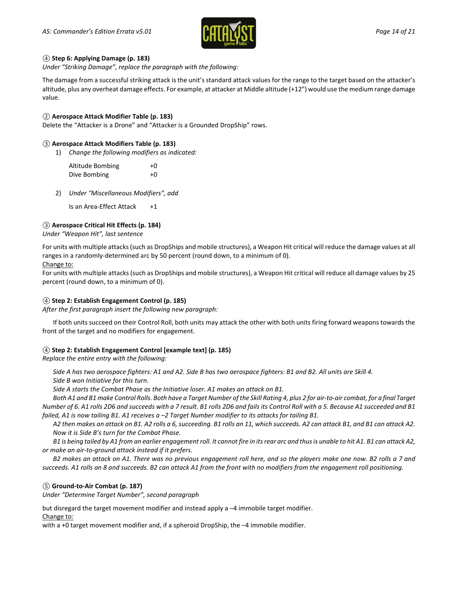

### *④* **Step 6: Applying Damage (p. 183)**

*Under "Striking Damage", replace the paragraph with the following:*

The damage from a successful striking attack is the unit's standard attack values for the range to the target based on the attacker's altitude, plus any overheat damage effects. For example, at attacker at Middle altitude (+12") would use the medium range damage value.

### *②* **Aerospace Attack Modifier Table (p. 183)**

Delete the "Attacker is a Drone" and "Attacker is a Grounded DropShip" rows.

### *③* **Aerospace Attack Modifiers Table (p. 183)**

1) *Change the following modifiers as indicated:*

| Altitude Bombing | $+0$ |
|------------------|------|
| Dive Bombing     | $+0$ |

2) *Under "Miscellaneous Modifiers", add*

Is an Area-Effect Attack +1

### *③* **Aerospace Critical Hit Effects (p. 184)**

*Under "Weapon Hit", last sentence*

For units with multiple attacks (such as DropShips and mobile structures), a Weapon Hit critical will reduce the damage values at all ranges in a randomly-determined arc by 50 percent (round down, to a minimum of 0).

#### Change to:

For units with multiple attacks (such as DropShips and mobile structures), a Weapon Hit critical will reduce all damage values by 25 percent (round down, to a minimum of 0).

### *④* **Step 2: Establish Engagement Control (p. 185)**

*After the first paragraph insert the following new paragraph:*

If both units succeed on their Control Roll, both units may attack the other with both units firing forward weapons towards the front of the target and no modifiers for engagement.

### *④* **Step 2: Establish Engagement Control [example text] (p. 185)**

*Replace the entire entry with the following:*

*Side A has two aerospace fighters: A1 and A2. Side B has two aerospace fighters: B1 and B2. All units are Skill 4.*

*Side B won Initiative for this turn.*

*Side A starts the Combat Phase as the Initiative loser. A1 makes an attack on B1.*

*Both A1 and B1 make Control Rolls. Both have a Target Number of the Skill Rating 4, plus 2 for air-to-air combat, for a final Target Number of 6. A1 rolls 2D6 and succeeds with a 7 result. B1 rolls 2D6 and fails its Control Roll with a 5. Because A1 succeeded and B1 failed, A1 is now tailing B1. A1 receives a –2 Target Number modifier to its attacks for tailing B1.*

*A2 then makes an attack on B1. A2 rolls a 6, succeeding. B1 rolls an 11, which succeeds. A2 can attack B1, and B1 can attack A2. Now it is Side B's turn for the Combat Phase.*

*B1 is being tailed by A1 from an earlier engagement roll. It cannot fire in its rear arc and thusis unable to hit A1. B1 can attack A2, or make an air-to-ground attack instead if it prefers.*

*B2 makes an attack on A1. There was no previous engagement roll here, and so the players make one now. B2 rolls a 7 and succeeds. A1 rolls an 8 and succeeds. B2 can attack A1 from the front with no modifiers from the engagement roll positioning.*

### *⑤* **Ground-to-Air Combat (p. 187)**

*Under "Determine Target Number", second paragraph*

but disregard the target movement modifier and instead apply a –4 immobile target modifier. Change to:

with a +0 target movement modifier and, if a spheroid DropShip, the –4 immobile modifier.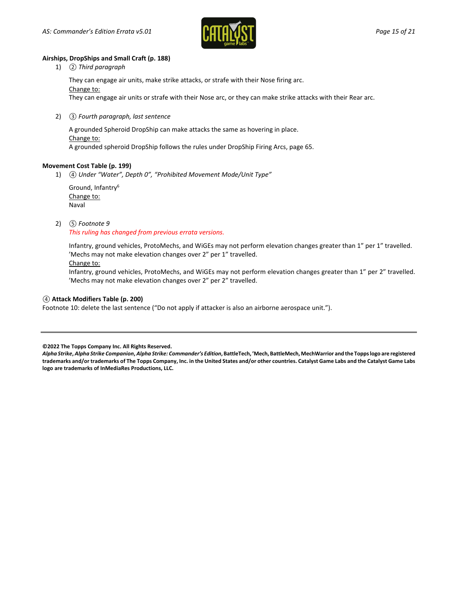

### **Airships, DropShips and Small Craft (p. 188)**

1) *② Third paragraph*

They can engage air units, make strike attacks, or strafe with their Nose firing arc. Change to: They can engage air units or strafe with their Nose arc, or they can make strike attacks with their Rear arc.

2) *③ Fourth paragraph, last sentence*

A grounded Spheroid DropShip can make attacks the same as hovering in place. Change to: A grounded spheroid DropShip follows the rules under DropShip Firing Arcs, page 65.

#### **Movement Cost Table (p. 199)**

1) *④ Under "Water", Depth 0", "Prohibited Movement Mode/Unit Type"*

Ground, Infantry6 Change to: Naval

#### 2) *⑤ Footnote 9*

#### *This ruling has changed from previous errata versions.*

Infantry, ground vehicles, ProtoMechs, and WiGEs may not perform elevation changes greater than 1" per 1" travelled. 'Mechs may not make elevation changes over 2" per 1" travelled.

#### Change to:

Infantry, ground vehicles, ProtoMechs, and WiGEs may not perform elevation changes greater than 1" per 2" travelled. 'Mechs may not make elevation changes over 2" per 2" travelled.

### *④* **Attack Modifiers Table (p. 200)**

Footnote 10: delete the last sentence ("Do not apply if attacker is also an airborne aerospace unit.").

**©2022 The Topps Company Inc. All Rights Reserved.**

*Alpha Strike***,** *Alpha Strike Companion***,** *Alpha Strike: Commander's Edition***, BattleTech, 'Mech, BattleMech, MechWarrior and the Topps logo are registered trademarks and/or trademarks of The Topps Company, Inc. in the United States and/or other countries. Catalyst Game Labs and the Catalyst Game Labs logo are trademarks of InMediaRes Productions, LLC.**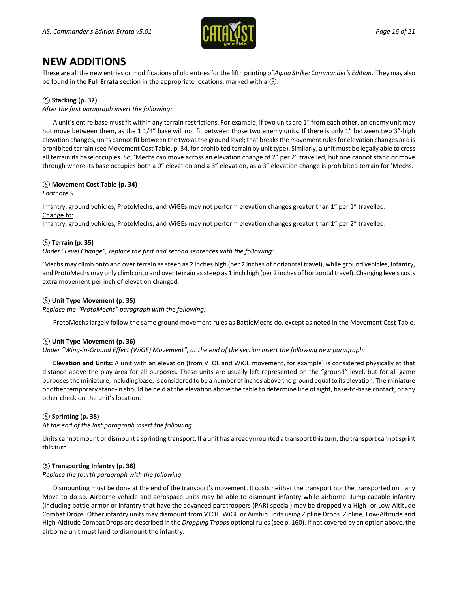

### **NEW ADDITIONS**

These are all the new entries or modifications of old entries forthe fifth printing of *Alpha Strike: Commander's Edition*. They may also be found in the **Full Errata** section in the appropriate locations, marked with a *⑤*.

### *⑤* **Stacking (p. 32)**

*After the first paragraph insert the following:*

A unit's entire base must fit within any terrain restrictions. For example, if two units are 1" from each other, an enemy unit may not move between them, as the 1 1/4" base will not fit between those two enemy units. If there is only 1" between two 3"-high elevation changes, units cannot fit between the two at the ground level; that breaks the movement rules for elevation changes and is prohibited terrain (see Movement Cost Table, p. 34, for prohibited terrain by unit type). Similarly, a unit must be legally able to cross all terrain its base occupies. So, 'Mechs can move across an elevation change of 2" per 2" travelled, but one cannot stand or move through where its base occupies both a 0" elevation and a 3" elevation, as a 3" elevation change is prohibited terrain for 'Mechs.

### *⑤* **Movement Cost Table (p. 34)**

*Footnote 9*

Infantry, ground vehicles, ProtoMechs, and WiGEs may not perform elevation changes greater than 1" per 1" travelled. Change to:

Infantry, ground vehicles, ProtoMechs, and WiGEs may not perform elevation changes greater than 1" per 2" travelled.

### *⑤* **Terrain (p. 35)**

*Under "Level Change", replace the first and second sentences with the following:*

'Mechs may climb onto and over terrain as steep as 2 inches high (per 2 inches of horizontal travel), while ground vehicles, infantry, and ProtoMechs may only climb onto and over terrain as steep as 1 inch high (per 2 inches of horizontal travel). Changing levels costs extra movement per inch of elevation changed.

### *⑤* **Unit Type Movement (p. 35)**

*Replace the "ProtoMechs" paragraph with the following:*

ProtoMechs largely follow the same ground movement rules as BattleMechs do, except as noted in the Movement Cost Table.

### *⑤* **Unit Type Movement (p. 36)**

*Under "Wing-in-Ground Effect (WiGE) Movement", at the end of the section insert the following new paragraph:*

**Elevation and Units:** A unit with an elevation (from VTOL and WiGE movement, for example) is considered physically at that distance above the play area for all purposes. These units are usually left represented on the "ground" level, but for all game purposes the miniature, including base, is considered to be a number of inches above the ground equal to its elevation. The miniature or other temporary stand-in should be held at the elevation above the table to determine line of sight, base-to-base contact, or any other check on the unit's location.

### *⑤* **Sprinting (p. 38)**

*At the end of the last paragraph insert the following:*

Units cannot mount or dismount a sprinting transport. If a unit has already mounted a transport this turn, the transport cannot sprint this turn.

### *⑤* **Transporting Infantry (p. 38)**

*Replace the fourth paragraph with the following:*

Dismounting must be done at the end of the transport's movement. It costs neither the transport nor the transported unit any Move to do so. Airborne vehicle and aerospace units may be able to dismount infantry while airborne. Jump-capable infantry (including battle armor or infantry that have the advanced paratroopers (PAR) special) may be dropped via High- or Low-Altitude Combat Drops. Other infantry units may dismount from VTOL, WiGE or Airship units using Zipline Drops. Zipline, Low-Altitude and High-Altitude Combat Drops are described in the *Dropping Troops* optional rules (see p. 160). If not covered by an option above, the airborne unit must land to dismount the infantry.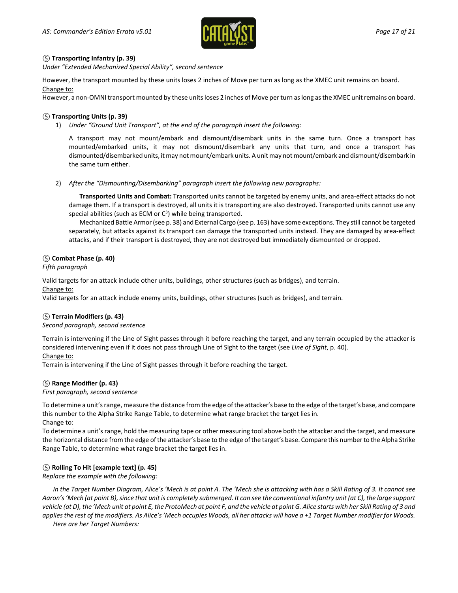

### *⑤* **Transporting Infantry (p. 39)**

*Under "Extended Mechanized Special Ability", second sentence*

However, the transport mounted by these units loses 2 inches of Move per turn as long as the XMEC unit remains on board. Change to:

However, a non-OMNI transport mounted by these units loses 2 inches of Move per turn as long as the XMEC unit remains on board.

### *⑤* **Transporting Units (p. 39)**

1) *Under "Ground Unit Transport", at the end of the paragraph insert the following:*

A transport may not mount/embark and dismount/disembark units in the same turn. Once a transport has mounted/embarked units, it may not dismount/disembark any units that turn, and once a transport has dismounted/disembarked units, it may not mount/embark units. A unit may not mount/embark and dismount/disembark in the same turn either.

2) *After the "Dismounting/Disembarking" paragraph insert the following new paragraphs:*

**Transported Units and Combat:** Transported units cannot be targeted by enemy units, and area-effect attacks do not damage them. If a transport is destroyed, all units it is transporting are also destroyed. Transported units cannot use any special abilities (such as ECM or  $C<sup>3</sup>$ ) while being transported.

Mechanized Battle Armor (see p. 38) and External Cargo (see p. 163) have some exceptions. They still cannot be targeted separately, but attacks against its transport can damage the transported units instead. They are damaged by area-effect attacks, and if their transport is destroyed, they are not destroyed but immediately dismounted or dropped.

### *⑤* **Combat Phase (p. 40)**

*Fifth paragraph*

Valid targets for an attack include other units, buildings, other structures (such as bridges), and terrain. Change to:

Valid targets for an attack include enemy units, buildings, other structures (such as bridges), and terrain.

### *⑤* **Terrain Modifiers (p. 43)**

### *Second paragraph, second sentence*

Terrain is intervening if the Line of Sight passes through it before reaching the target, and any terrain occupied by the attacker is considered intervening even if it does not pass through Line of Sight to the target (see *Line of Sight*, p. 40).

### Change to:

Terrain is intervening if the Line of Sight passes through it before reaching the target.

### *⑤* **Range Modifier (p. 43)**

*First paragraph, second sentence*

To determine a unit's range, measure the distance from the edge of the attacker's base to the edge of the target's base, and compare this number to the Alpha Strike Range Table, to determine what range bracket the target lies in. Change to:

To determine a unit's range, hold the measuring tape or other measuring tool above both the attacker and the target, and measure the horizontal distance from the edge of the attacker's base to the edge of the target's base. Compare this number to the Alpha Strike Range Table, to determine what range bracket the target lies in.

### *⑤* **Rolling To Hit [example text] (p. 45)**

*Replace the example with the following:*

*In the Target Number Diagram, Alice's 'Mech is at point A. The 'Mech she is attacking with has a Skill Rating of 3. It cannot see Aaron's 'Mech (at point B), since that unit is completely submerged. It can see the conventional infantry unit (at C), the large support vehicle (at D), the 'Mech unit at point E, the ProtoMech at point F, and the vehicle at point G. Alice starts with her Skill Rating of 3 and applies the rest of the modifiers. As Alice's 'Mech occupies Woods, all her attacks will have a +1 Target Number modifier for Woods.*

*Here are her Target Numbers:*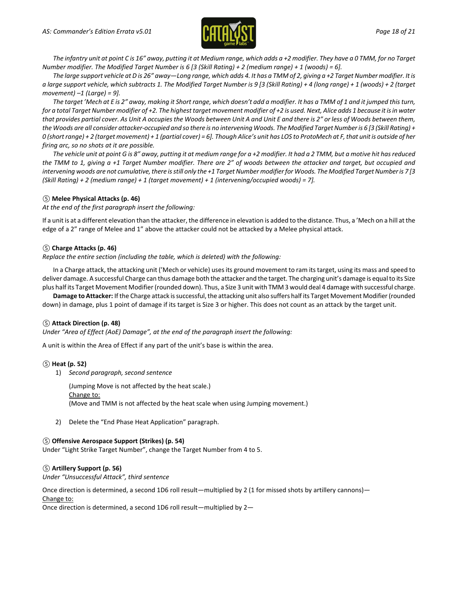

*The infantry unit at point C is 16" away, putting it at Medium range, which adds a +2 modifier. They have a 0 TMM, for no Target Number modifier. The Modified Target Number is 6 [3 (Skill Rating) + 2 (medium range) + 1 (woods) = 6].*

*The large support vehicle at D is 26" away—Long range, which adds 4. It has a TMM of 2, giving a +2 Target Numbermodifier. It is a large support vehicle, which subtracts 1. The Modified Target Number is 9 [3 (Skill Rating) + 4 (long range) + 1 (woods) + 2 (target movement) –1 (Large) = 9].*

*The target 'Mech at E is 2" away, making it Short range, which doesn't add a modifier. It has a TMM of 1 and it jumped this turn, for a total Target Number modifier of +2. The highest target movement modifier of +2 is used. Next, Alice adds 1 because it is in water that provides partial cover. As Unit A occupies the Woods between Unit A and Unit E and there is 2" or less of Woods between them, the Woods are all consider attacker-occupied and so there is no intervening Woods. The Modified Target Number is 6 [3 (Skill Rating) + 0 (shortrange) + 2 (target movement) + 1 (partial cover) = 6]. Though Alice's unit has LOS to ProtoMech at F, that unit is outside of her firing arc, so no shots at it are possible.*

*The vehicle unit at point G is 8" away, putting it at medium range for a +2 modifier. It had a 2 TMM, but a motive hit has reduced the TMM to 1, giving a +1 Target Number modifier. There are 2" of woods between the attacker and target, but occupied and intervening woods are not cumulative, there is still only the +1 Target Number modifier for Woods. The Modified Target Number is 7 [3 (Skill Rating) + 2 (medium range) + 1 (target movement) + 1 (intervening/occupied woods) = 7].*

### *⑤* **Melee Physical Attacks (p. 46)**

*At the end of the first paragraph insert the following:*

If a unit is at a different elevation than the attacker, the difference in elevation is added to the distance. Thus, a 'Mech on a hill at the edge of a 2" range of Melee and 1" above the attacker could not be attacked by a Melee physical attack.

### *⑤* **Charge Attacks (p. 46)**

*Replace the entire section (including the table, which is deleted) with the following:*

In a Charge attack, the attacking unit ('Mech or vehicle) uses its ground movement to ram its target, using its mass and speed to deliver damage. A successful Charge can thus damage both the attacker and the target. The charging unit's damage is equal to its Size plus half its Target Movement Modifier (rounded down). Thus, a Size 3 unit with TMM 3 would deal 4 damage with successful charge.

**Damage to Attacker:** If the Charge attack is successful, the attacking unit also suffers half its Target Movement Modifier (rounded down) in damage, plus 1 point of damage if its target is Size 3 or higher. This does not count as an attack by the target unit.

### *⑤* **Attack Direction (p. 48)**

*Under "Area of Effect (AoE) Damage", at the end of the paragraph insert the following:*

A unit is within the Area of Effect if any part of the unit's base is within the area.

### *⑤* **Heat (p. 52)**

1) *Second paragraph, second sentence*

(Jumping Move is not affected by the heat scale.) Change to: (Move and TMM is not affected by the heat scale when using Jumping movement.)

2) Delete the "End Phase Heat Application" paragraph.

### *⑤* **Offensive Aerospace Support (Strikes) (p. 54)**

Under "Light Strike Target Number", change the Target Number from 4 to 5.

### *⑤* **Artillery Support (p. 56)**

*Under "Unsuccessful Attack", third sentence*

Once direction is determined, a second 1D6 roll result—multiplied by 2 (1 for missed shots by artillery cannons)—

Change to:

Once direction is determined, a second 1D6 roll result—multiplied by 2—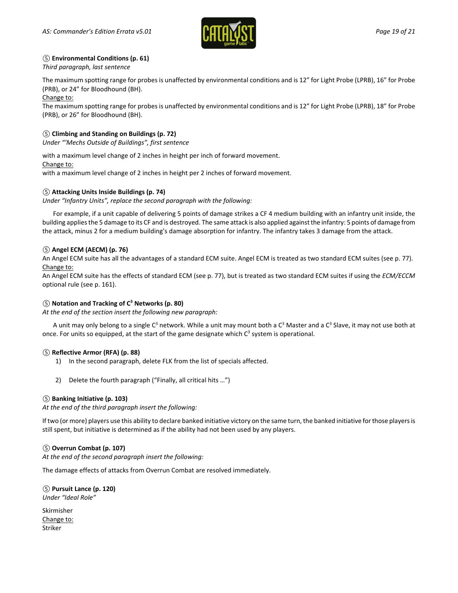

### *⑤* **Environmental Conditions (p. 61)**

*Third paragraph, last sentence*

The maximum spotting range for probes is unaffected by environmental conditions and is 12" for Light Probe (LPRB), 16" for Probe (PRB), or 24" for Bloodhound (BH).

Change to:

The maximum spotting range for probes is unaffected by environmental conditions and is 12" for Light Probe (LPRB), 18" for Probe (PRB), or 26" for Bloodhound (BH).

### *⑤* **Climbing and Standing on Buildings (p. 72)**

*Under "'Mechs Outside of Buildings", first sentence*

with a maximum level change of 2 inches in height per inch of forward movement.

### Change to:

with a maximum level change of 2 inches in height per 2 inches of forward movement.

### *⑤* **Attacking Units Inside Buildings (p. 74)**

*Under "Infantry Units", replace the second paragraph with the following:*

For example, if a unit capable of delivering 5 points of damage strikes a CF 4 medium building with an infantry unit inside, the building applies the 5 damage to its CF and is destroyed. The same attack is also applied against the infantry: 5 points of damage from the attack, minus 2 for a medium building's damage absorption for infantry. The infantry takes 3 damage from the attack.

### *⑤* **Angel ECM (AECM) (p. 76)**

An Angel ECM suite has all the advantages of a standard ECM suite. Angel ECM is treated as two standard ECM suites (see p. 77). Change to:

An Angel ECM suite has the effects of standard ECM (see p. 77), but is treated as two standard ECM suites if using the *ECM/ECCM* optional rule (see p. 161).

### *⑤* **Notation and Tracking of C3 Networks (p. 80)**

*At the end of the section insert the following new paragraph:*

A unit may only belong to a single  $C^3$  network. While a unit may mount both a  $C^3$  Master and a  $C^3$  Slave, it may not use both at once. For units so equipped, at the start of the game designate which  $C^3$  system is operational.

### *⑤* **Reflective Armor (RFA) (p. 88)**

- 1) In the second paragraph, delete FLK from the list of specials affected.
- 2) Delete the fourth paragraph ("Finally, all critical hits …")

### *⑤* **Banking Initiative (p. 103)**

*At the end of the third paragraph insert the following:*

If two (or more) players use this ability to declare banked initiative victory on the same turn, the banked initiative for those players is still spent, but initiative is determined as if the ability had not been used by any players.

### *⑤* **Overrun Combat (p. 107)**

*At the end of the second paragraph insert the following:*

The damage effects of attacks from Overrun Combat are resolved immediately.

*⑤* **Pursuit Lance (p. 120)** *Under "Ideal Role"*

Skirmisher Change to: Striker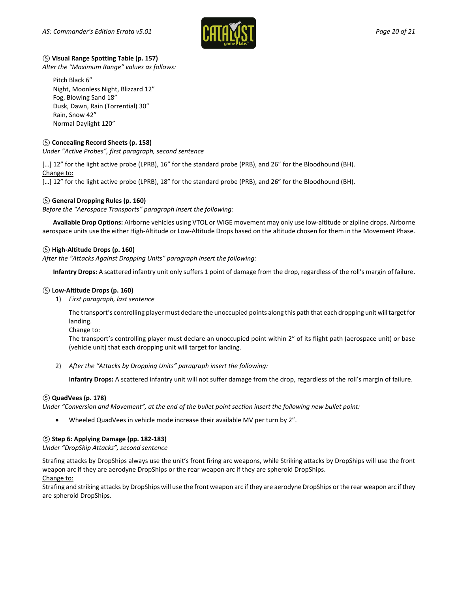

### *⑤* **Visual Range Spotting Table (p. 157)**

*Alter the "Maximum Range" values as follows:*

Pitch Black 6" Night, Moonless Night, Blizzard 12" Fog, Blowing Sand 18" Dusk, Dawn, Rain (Torrential) 30" Rain, Snow 42" Normal Daylight 120"

### *⑤* **Concealing Record Sheets (p. 158)**

*Under "Active Probes", first paragraph, second sentence*

[…] 12" for the light active probe (LPRB), 16" for the standard probe (PRB), and 26" for the Bloodhound (BH). Change to:

[…] 12" for the light active probe (LPRB), 18" for the standard probe (PRB), and 26" for the Bloodhound (BH).

### *⑤* **General Dropping Rules (p. 160)**

*Before the "Aerospace Transports" paragraph insert the following:*

**Available Drop Options:** Airborne vehicles using VTOL or WiGE movement may only use low-altitude or zipline drops. Airborne aerospace units use the either High-Altitude or Low-Altitude Drops based on the altitude chosen for them in the Movement Phase.

### *⑤* **High-Altitude Drops (p. 160)**

*After the "Attacks Against Dropping Units" paragraph insert the following:*

**Infantry Drops:** A scattered infantry unit only suffers 1 point of damage from the drop, regardless of the roll's margin of failure.

### *⑤* **Low-Altitude Drops (p. 160)**

1) *First paragraph, last sentence*

The transport's controlling player must declare the unoccupied points along this path that each dropping unit will target for landing.

Change to:

The transport's controlling player must declare an unoccupied point within 2" of its flight path (aerospace unit) or base (vehicle unit) that each dropping unit will target for landing.

2) *After the "Attacks by Dropping Units" paragraph insert the following:*

**Infantry Drops:** A scattered infantry unit will not suffer damage from the drop, regardless of the roll's margin of failure.

### *⑤* **QuadVees (p. 178)**

*Under "Conversion and Movement", at the end of the bullet point section insert the following new bullet point:*

• Wheeled QuadVees in vehicle mode increase their available MV per turn by 2".

### *⑤* **Step 6: Applying Damage (pp. 182-183)**

*Under "DropShip Attacks", second sentence*

Strafing attacks by DropShips always use the unit's front firing arc weapons, while Striking attacks by DropShips will use the front weapon arc if they are aerodyne DropShips or the rear weapon arc if they are spheroid DropShips.

### Change to:

Strafing and striking attacks by DropShips will use the front weapon arc if they are aerodyne DropShips or the rear weapon arc if they are spheroid DropShips.